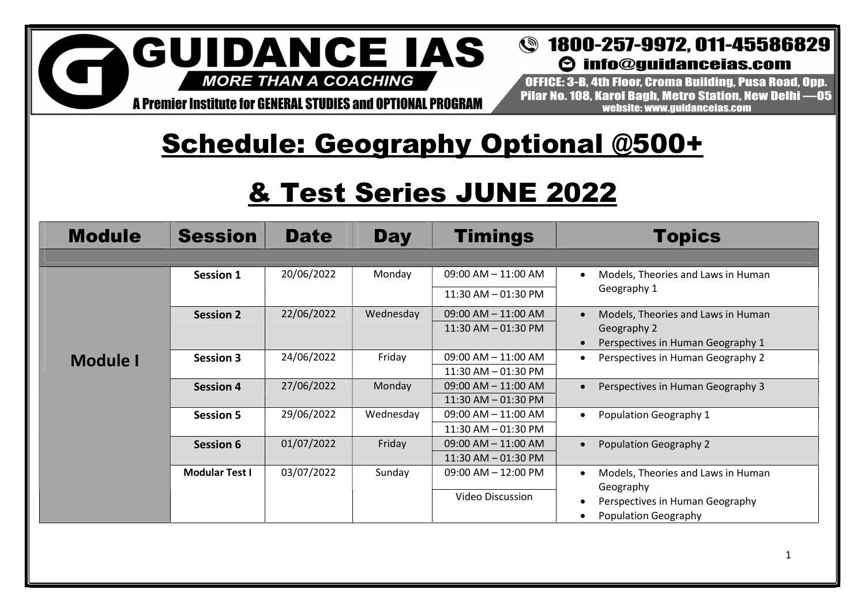A Premier Institute for GENERAL STUDIES and OPTIONAL PROGRAM

#### **@** 1800-257-9972, 011-45586829  $\Theta$  info@quidanceias.com

OFFICE: 3-B. 4th Floor. Croma Building. Pusa Road. Opp. Pilar No. 108. Karol Bagh. Metro Station. New Delhi -05 website: www.quidanceias.com

# Schedule: Geography Optional @500+

# & Test Series JUNE 2022

| <b>Module</b>   | <b>Session</b>        | <b>Date</b> | <b>Day</b> | <b>Timings</b>          | <b>Topics</b>                      |  |
|-----------------|-----------------------|-------------|------------|-------------------------|------------------------------------|--|
|                 |                       |             |            |                         |                                    |  |
|                 | Session 1             | 20/06/2022  | Monday     | $09:00$ AM $- 11:00$ AM | Models, Theories and Laws in Human |  |
|                 |                       |             |            | 11:30 AM - 01:30 PM     | Geography 1                        |  |
|                 | <b>Session 2</b>      | 22/06/2022  | Wednesday  | $09:00$ AM $- 11:00$ AM | Models, Theories and Laws in Human |  |
|                 |                       |             |            | $11:30$ AM $-$ 01:30 PM | Geography 2                        |  |
|                 |                       |             |            |                         | Perspectives in Human Geography 1  |  |
| <b>Module I</b> | <b>Session 3</b>      | 24/06/2022  | Friday     | $09:00$ AM $-11:00$ AM  | Perspectives in Human Geography 2  |  |
|                 |                       |             |            | $11:30$ AM $-$ 01:30 PM |                                    |  |
|                 | <b>Session 4</b>      | 27/06/2022  | Monday     | $09:00$ AM $- 11:00$ AM | Perspectives in Human Geography 3  |  |
|                 |                       |             |            | $11:30$ AM $-$ 01:30 PM |                                    |  |
|                 | <b>Session 5</b>      | 29/06/2022  | Wednesday  | $09:00$ AM $- 11:00$ AM | Population Geography 1             |  |
|                 |                       |             |            | 11:30 AM - 01:30 PM     |                                    |  |
|                 | Session 6             | 01/07/2022  | Friday     | $09:00$ AM $- 11:00$ AM | Population Geography 2             |  |
|                 |                       |             |            | $11:30$ AM $-$ 01:30 PM |                                    |  |
|                 | <b>Modular Test I</b> | 03/07/2022  | Sunday     | $09:00$ AM $- 12:00$ PM | Models, Theories and Laws in Human |  |
|                 |                       |             |            |                         | Geography                          |  |
|                 |                       |             |            | <b>Video Discussion</b> | Perspectives in Human Geography    |  |
|                 |                       |             |            |                         | Population Geography               |  |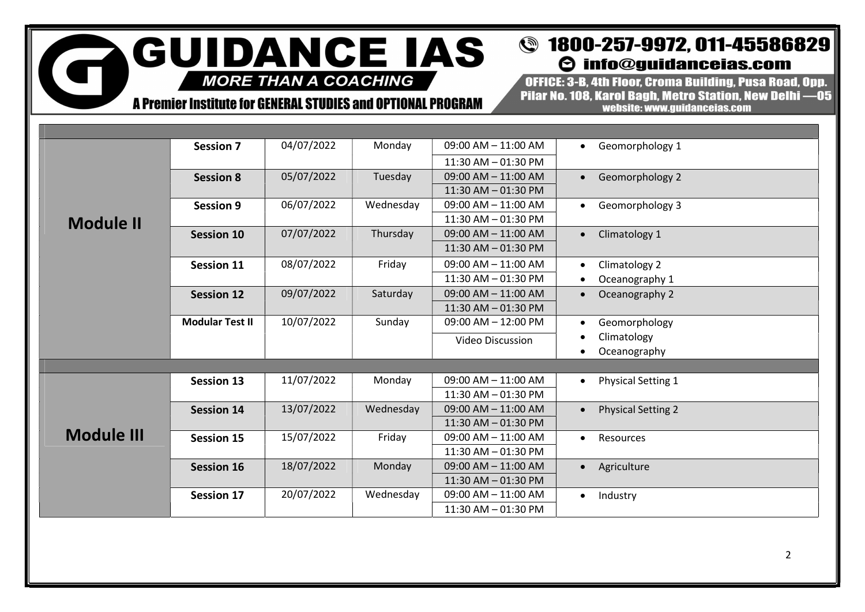A Premier Institute for GENERAL STUDIES and OPTIONAL PROGRAM

r

#### **@** 1800-257-9972, 011-45586829  $\Theta$  info@guidanceias.com

OFFICE: 3-B. 4th Floor. Croma Building. Pusa Road. Opp. Pilar No. 108, Karol Bagh, Metro Station, New Delhi -05 website: www.guidanceias.com

|                   | <b>Session 7</b>       | 04/07/2022 | Monday    | $09:00$ AM $-11:00$ AM  | Geomorphology 1<br>$\bullet$           |  |  |
|-------------------|------------------------|------------|-----------|-------------------------|----------------------------------------|--|--|
|                   |                        |            |           | 11:30 AM - 01:30 PM     |                                        |  |  |
|                   | <b>Session 8</b>       | 05/07/2022 | Tuesday   | $09:00$ AM $- 11:00$ AM | Geomorphology 2<br>$\bullet$           |  |  |
|                   |                        |            |           | $11:30$ AM $-$ 01:30 PM |                                        |  |  |
|                   | <b>Session 9</b>       | 06/07/2022 | Wednesday | 09:00 AM - 11:00 AM     | Geomorphology 3<br>$\bullet$           |  |  |
| <b>Module II</b>  |                        |            |           | 11:30 AM - 01:30 PM     |                                        |  |  |
|                   | <b>Session 10</b>      | 07/07/2022 | Thursday  | $09:00$ AM $- 11:00$ AM | Climatology 1<br>$\bullet$             |  |  |
|                   |                        |            |           | $11:30$ AM $-$ 01:30 PM |                                        |  |  |
|                   | <b>Session 11</b>      | 08/07/2022 | Friday    | $09:00$ AM $-11:00$ AM  | Climatology 2                          |  |  |
|                   |                        |            |           | 11:30 AM - 01:30 PM     | Oceanography 1                         |  |  |
|                   | <b>Session 12</b>      | 09/07/2022 | Saturday  | $09:00$ AM $- 11:00$ AM | Oceanography 2                         |  |  |
|                   |                        |            |           | 11:30 AM - 01:30 PM     |                                        |  |  |
|                   | <b>Modular Test II</b> | 10/07/2022 | Sunday    | $09:00$ AM $- 12:00$ PM | Geomorphology                          |  |  |
|                   |                        |            |           | <b>Video Discussion</b> | Climatology                            |  |  |
|                   |                        |            |           |                         | Oceanography                           |  |  |
|                   |                        |            |           |                         |                                        |  |  |
|                   | <b>Session 13</b>      | 11/07/2022 | Monday    | $09:00$ AM $- 11:00$ AM | <b>Physical Setting 1</b><br>$\bullet$ |  |  |
|                   |                        |            |           | 11:30 AM - 01:30 PM     |                                        |  |  |
|                   | <b>Session 14</b>      | 13/07/2022 | Wednesday | $09:00$ AM $- 11:00$ AM | <b>Physical Setting 2</b>              |  |  |
|                   |                        |            |           | 11:30 AM - 01:30 PM     |                                        |  |  |
| <b>Module III</b> | <b>Session 15</b>      | 15/07/2022 | Friday    | $09:00$ AM $-11:00$ AM  | Resources                              |  |  |
|                   |                        |            |           | 11:30 AM - 01:30 PM     |                                        |  |  |
|                   | <b>Session 16</b>      | 18/07/2022 | Monday    | $09:00$ AM $-11:00$ AM  | Agriculture                            |  |  |
|                   |                        |            |           | 11:30 AM - 01:30 PM     |                                        |  |  |
|                   | <b>Session 17</b>      | 20/07/2022 | Wednesday | $09:00$ AM $-11:00$ AM  | Industry<br>$\bullet$                  |  |  |
|                   |                        |            |           | 11:30 AM - 01:30 PM     |                                        |  |  |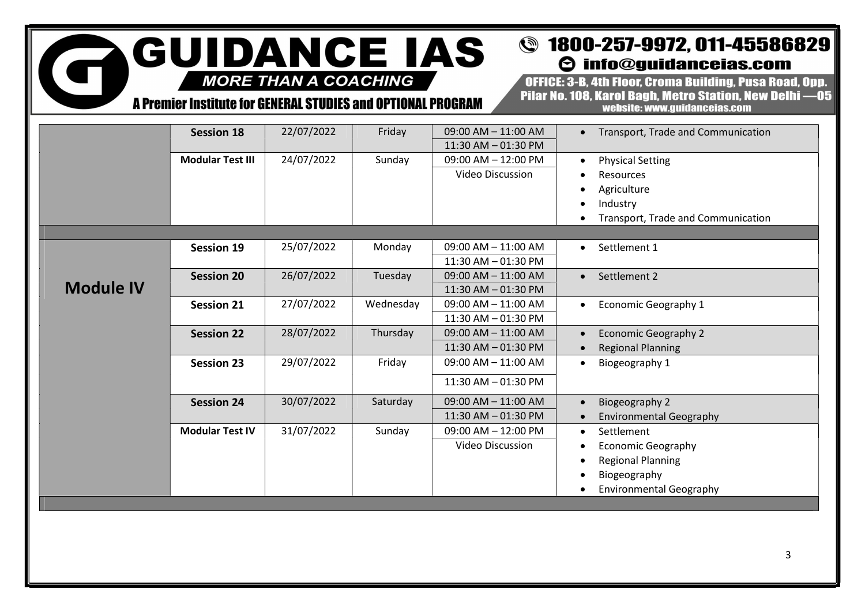$\overline{\mathbf{G}}$ 

### A Premier Institute for GENERAL STUDIES and OPTIONAL PROGRAM

#### **@** 1800-257-9972, 011-45586829  $\Theta$  info@guidanceias.com

OFFICE: 3-B, 4th Floor, Croma Building, Pusa Road, Opp. Pilar No. 108, Karol Bagh, Metro Station, New Delhi -05 website: www.guidanceias.com

|                  | <b>Session 18</b>       | 22/07/2022 | Friday    | $09:00$ AM $- 11:00$ AM<br>11:30 AM - 01:30 PM     | • Transport, Trade and Communication                                                                  |
|------------------|-------------------------|------------|-----------|----------------------------------------------------|-------------------------------------------------------------------------------------------------------|
|                  | <b>Modular Test III</b> | 24/07/2022 | Sunday    | 09:00 AM - 12:00 PM<br>Video Discussion            | <b>Physical Setting</b><br>Resources<br>Agriculture<br>Industry<br>Transport, Trade and Communication |
|                  |                         |            |           |                                                    |                                                                                                       |
|                  | <b>Session 19</b>       | 25/07/2022 | Monday    | $09:00$ AM $- 11:00$ AM<br>11:30 AM - 01:30 PM     | Settlement 1<br>$\bullet$                                                                             |
| <b>Module IV</b> | <b>Session 20</b>       | 26/07/2022 | Tuesday   | $09:00$ AM $- 11:00$ AM<br>$11:30$ AM $-$ 01:30 PM | Settlement 2<br>$\bullet$                                                                             |
|                  | <b>Session 21</b>       | 27/07/2022 | Wednesday | 09:00 AM - 11:00 AM<br>11:30 AM - 01:30 PM         | Economic Geography 1                                                                                  |
|                  | <b>Session 22</b>       | 28/07/2022 | Thursday  | 09:00 AM - 11:00 AM<br>11:30 AM - 01:30 PM         | <b>Economic Geography 2</b><br><b>Regional Planning</b>                                               |
|                  | <b>Session 23</b>       | 29/07/2022 | Friday    | 09:00 AM - 11:00 AM<br>11:30 AM - 01:30 PM         | Biogeography 1                                                                                        |
|                  | <b>Session 24</b>       | 30/07/2022 | Saturday  | 09:00 AM - 11:00 AM<br>11:30 AM - 01:30 PM         | Biogeography 2<br><b>Environmental Geography</b>                                                      |
|                  | <b>Modular Test IV</b>  | 31/07/2022 | Sunday    | $09:00$ AM $- 12:00$ PM<br>Video Discussion        | Settlement<br>$\bullet$<br><b>Economic Geography</b><br><b>Regional Planning</b>                      |
|                  |                         |            |           |                                                    | Biogeography<br><b>Environmental Geography</b>                                                        |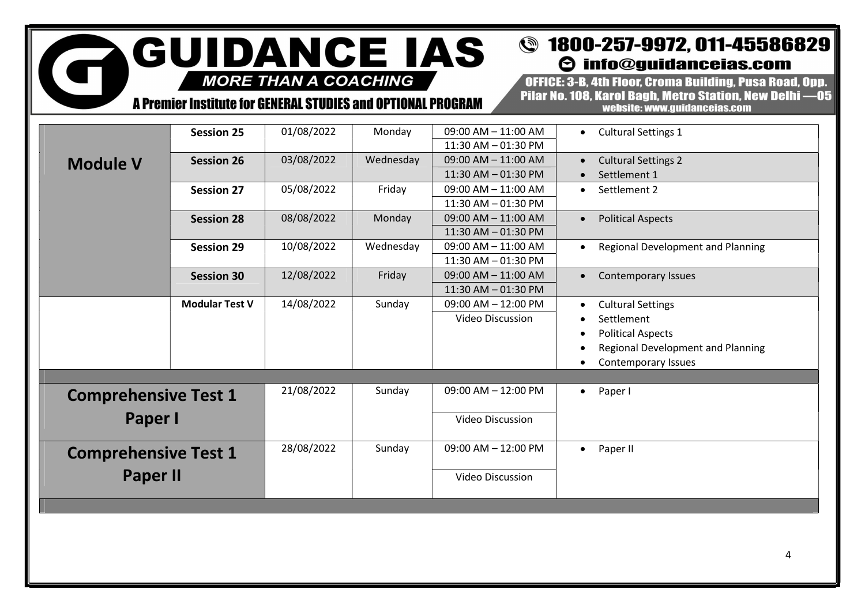### **@** 1800-257-9972, 011-45586829  $\Theta$  info@guidanceias.com

**MORE THAN A COACHING** 

G

**GUIDANCE IAS** 

A Premier Institute for GENERAL STUDIES and OPTIONAL PROGRAM

OFFICE: 3-B, 4th Floor, Croma Building, Pusa Road, Opp. Pilar No. 108, Karol Bagh, Metro Station, New Delhi -05 website: www.guidanceias.com

|                             | <b>Session 25</b>     | 01/08/2022 | Monday                  | 09:00 AM - 11:00 AM     | <b>Cultural Settings 1</b>                     |
|-----------------------------|-----------------------|------------|-------------------------|-------------------------|------------------------------------------------|
|                             |                       |            |                         | 11:30 AM - 01:30 PM     |                                                |
| <b>Module V</b>             | <b>Session 26</b>     | 03/08/2022 | Wednesday               | 09:00 AM - 11:00 AM     | <b>Cultural Settings 2</b>                     |
|                             |                       |            |                         | 11:30 AM - 01:30 PM     | Settlement 1                                   |
|                             | <b>Session 27</b>     | 05/08/2022 | Friday                  | 09:00 AM - 11:00 AM     | Settlement 2<br>$\bullet$                      |
|                             |                       |            |                         | 11:30 AM - 01:30 PM     |                                                |
|                             | <b>Session 28</b>     | 08/08/2022 | Monday                  | 09:00 AM - 11:00 AM     | <b>Political Aspects</b>                       |
|                             |                       |            |                         | 11:30 AM - 01:30 PM     |                                                |
|                             | <b>Session 29</b>     | 10/08/2022 | Wednesday               | $09:00$ AM $- 11:00$ AM | Regional Development and Planning<br>$\bullet$ |
|                             |                       |            |                         | $11:30$ AM $-$ 01:30 PM |                                                |
|                             | <b>Session 30</b>     | 12/08/2022 | Friday                  | 09:00 AM - 11:00 AM     | Contemporary Issues<br>$\bullet$               |
|                             |                       |            |                         | 11:30 AM - 01:30 PM     |                                                |
|                             | <b>Modular Test V</b> | 14/08/2022 | Sunday                  | 09:00 AM - 12:00 PM     | <b>Cultural Settings</b>                       |
|                             |                       |            |                         | Video Discussion        | Settlement                                     |
|                             |                       |            |                         |                         | <b>Political Aspects</b>                       |
|                             |                       |            |                         |                         | <b>Regional Development and Planning</b>       |
|                             |                       |            |                         |                         | Contemporary Issues                            |
|                             |                       |            |                         |                         |                                                |
| <b>Comprehensive Test 1</b> | 21/08/2022            | Sunday     | $09:00$ AM $- 12:00$ PM | Paper I<br>$\bullet$    |                                                |
| Paper I                     |                       |            |                         | <b>Video Discussion</b> |                                                |
| <b>Comprehensive Test 1</b> |                       | 28/08/2022 | Sunday                  | 09:00 AM - 12:00 PM     | • Paper II                                     |
| <b>Paper II</b>             |                       |            |                         | <b>Video Discussion</b> |                                                |
|                             |                       |            |                         |                         |                                                |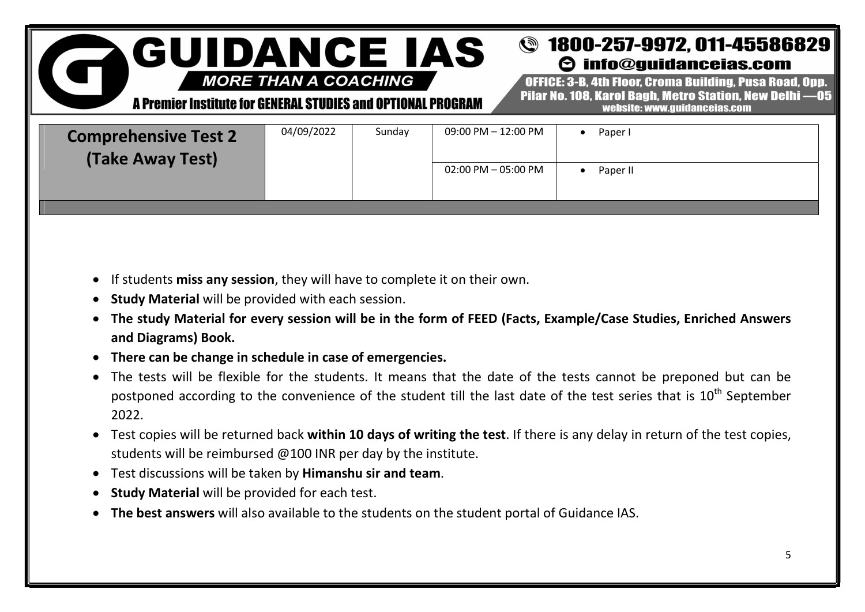#### **@** 1800-257-9972, 011-45586829 **GUIDANCE IAS**  $\Theta$  info@quidanceias.com

**MORE THAN A COACHING** 

A Premier Institute for GENERAL STUDIES and OPTIONAL PROGRAM

OFFICE: 3-B. 4th Floor. Croma Building. Pusa Road. Opp. Pilar No. 108. Karol Bagh. Metro Station. New Delhi -05 website: www.guidanceias.com

| <b>Comprehensive Test 2</b><br>(Take Away Test) | 04/09/2022 | Sunday | 09:00 PM - 12:00 PM    | Paper I  |
|-------------------------------------------------|------------|--------|------------------------|----------|
|                                                 |            |        | $02:00$ PM $-05:00$ PM | Paper II |
|                                                 |            |        |                        |          |

- If students miss any session, they will have to complete it on their own.
- Study Material will be provided with each session.
- The study Material for every session will be in the form of FEED (Facts, Example/Case Studies, Enriched Answers and Diagrams) Book.
- There can be change in schedule in case of emergencies.
- The tests will be flexible for the students. It means that the date of the tests cannot be preponed but can be postponed according to the convenience of the student till the last date of the test series that is 10<sup>th</sup> September 2022.
- Test copies will be returned back within 10 days of writing the test. If there is any delay in return of the test copies, students will be reimbursed @100 INR per day by the institute.
- Test discussions will be taken by Himanshu sir and team.
- **Study Material will be provided for each test.**
- The best answers will also available to the students on the student portal of Guidance IAS.